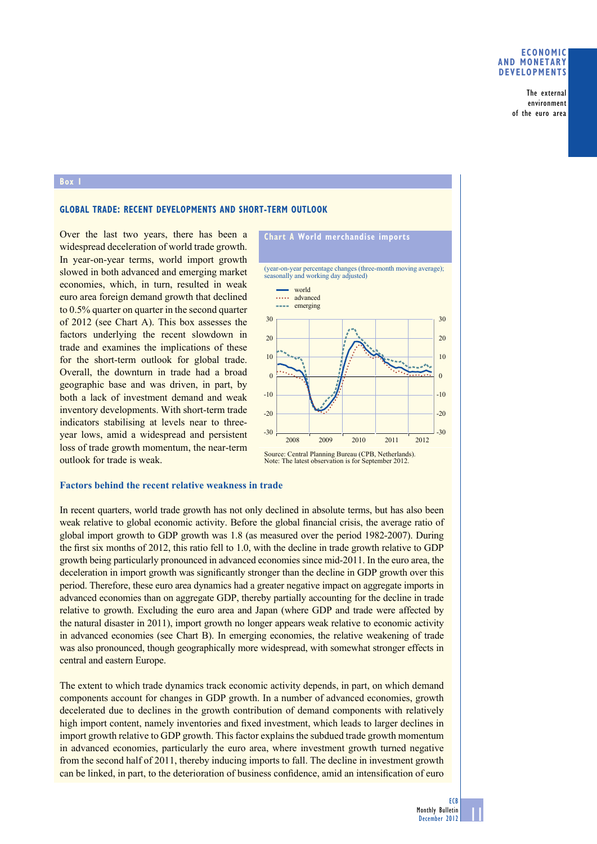## **economic anD monetary DeVeloPmentS**

The external environment of the euro area

#### **box 1**

# **Global traDe: recent DeVeloPmentS anD Short-term outlooK**

Over the last two years, there has been a widespread deceleration of world trade growth. In year-on-year terms, world import growth slowed in both advanced and emerging market economies, which, in turn, resulted in weak euro area foreign demand growth that declined to 0.5% quarter on quarter in the second quarter of 2012 (see Chart A). This box assesses the factors underlying the recent slowdown in trade and examines the implications of these for the short-term outlook for global trade. Overall, the downturn in trade had a broad geographic base and was driven, in part, by both a lack of investment demand and weak inventory developments. With short-term trade indicators stabilising at levels near to threeyear lows, amid a widespread and persistent loss of trade growth momentum, the near-term outlook for trade is weak.



#### **Factors behind the recent relative weakness in trade**

In recent quarters, world trade growth has not only declined in absolute terms, but has also been weak relative to global economic activity. Before the global financial crisis, the average ratio of global import growth to GDP growth was 1.8 (as measured over the period 1982-2007). During the first six months of 2012, this ratio fell to 1.0, with the decline in trade growth relative to GDP growth being particularly pronounced in advanced economies since mid-2011. In the euro area, the deceleration in import growth was significantly stronger than the decline in GDP growth over this period. Therefore, these euro area dynamics had a greater negative impact on aggregate imports in advanced economies than on aggregate GDP, thereby partially accounting for the decline in trade relative to growth. Excluding the euro area and Japan (where GDP and trade were affected by the natural disaster in 2011), import growth no longer appears weak relative to economic activity in advanced economies (see Chart B). In emerging economies, the relative weakening of trade was also pronounced, though geographically more widespread, with somewhat stronger effects in central and eastern Europe.

The extent to which trade dynamics track economic activity depends, in part, on which demand components account for changes in GDP growth. In a number of advanced economies, growth decelerated due to declines in the growth contribution of demand components with relatively high import content, namely inventories and fixed investment, which leads to larger declines in import growth relative to GDP growth. This factor explains the subdued trade growth momentum in advanced economies, particularly the euro area, where investment growth turned negative from the second half of 2011, thereby inducing imports to fall. The decline in investment growth can be linked, in part, to the deterioration of business confidence, amid an intensification of euro